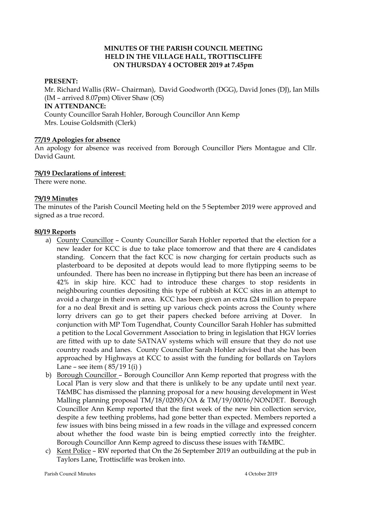## **MINUTES OF THE PARISH COUNCIL MEETING HELD IN THE VILLAGE HALL, TROTTISCLIFFE ON THURSDAY 4 OCTOBER 2019 at 7.45pm**

#### **PRESENT:**

Mr. Richard Wallis (RW– Chairman), David Goodworth (DGG), David Jones (DJ), Ian Mills (IM – arrived 8.07pm) Oliver Shaw (OS) **IN ATTENDANCE:**  County Councillor Sarah Hohler, Borough Councillor Ann Kemp Mrs. Louise Goldsmith (Clerk)

#### **77/19 Apologies for absence**

An apology for absence was received from Borough Councillor Piers Montague and Cllr. David Gaunt.

#### **78/19 Declarations of interest**:

There were none.

#### **79/19 Minutes**

The minutes of the Parish Council Meeting held on the 5 September 2019 were approved and signed as a true record.

#### **80/19 Reports**

- a) County Councillor County Councillor Sarah Hohler reported that the election for a new leader for KCC is due to take place tomorrow and that there are 4 candidates standing. Concern that the fact KCC is now charging for certain products such as plasterboard to be deposited at depots would lead to more flytipping seems to be unfounded. There has been no increase in flytipping but there has been an increase of 42% in skip hire. KCC had to introduce these charges to stop residents in neighbouring counties depositing this type of rubbish at KCC sites in an attempt to avoid a charge in their own area. KCC has been given an extra £24 million to prepare for a no deal Brexit and is setting up various check points across the County where lorry drivers can go to get their papers checked before arriving at Dover. In conjunction with MP Tom Tugendhat, County Councillor Sarah Hohler has submitted a petition to the Local Government Association to bring in legislation that HGV lorries are fitted with up to date SATNAV systems which will ensure that they do not use country roads and lanes. County Councillor Sarah Hohler advised that she has been approached by Highways at KCC to assist with the funding for bollards on Taylors Lane – see item  $(85/191(i))$
- b) Borough Councillor Borough Councillor Ann Kemp reported that progress with the Local Plan is very slow and that there is unlikely to be any update until next year. T&MBC has dismissed the planning proposal for a new housing development in West Malling planning proposal TM/18/02093/OA & TM/19/00016/NONDET. Borough Councillor Ann Kemp reported that the first week of the new bin collection service, despite a few teething problems, had gone better than expected. Members reported a few issues with bins being missed in a few roads in the village and expressed concern about whether the food waste bin is being emptied correctly into the freighter. Borough Councillor Ann Kemp agreed to discuss these issues with T&MBC.
- c) Kent Police RW reported that On the 26 September 2019 an outbuilding at the pub in Taylors Lane, Trottiscliffe was broken into.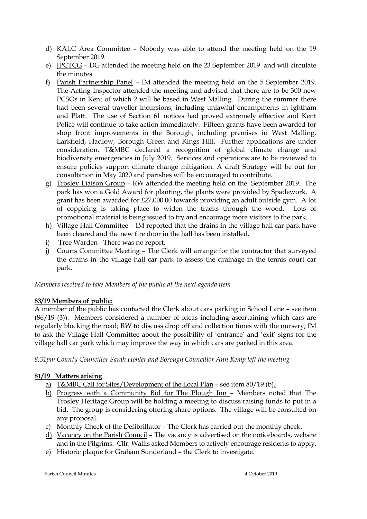- d) KALC Area Committee Nobody was able to attend the meeting held on the 19 September 2019.
- e) JPCTCG DG attended the meeting held on the 23 September 2019 and will circulate the minutes.
- f) Parish Partnership Panel IM attended the meeting held on the 5 September 2019. The Acting Inspector attended the meeting and advised that there are to be 300 new PCSOs in Kent of which 2 will be based in West Malling. During the summer there had been several traveller incursions, including unlawful encampments in Ightham and Platt. The use of Section 61 notices had proved extremely effective and Kent Police will continue to take action immediately. Fifteen grants have been awarded for shop front improvements in the Borough, including premises in West Malling, Larkfield, Hadlow, Borough Green and Kings Hill. Further applications are under consideration. T&MBC declared a recognition of global climate change and biodiversity emergencies in July 2019. Services and operations are to be reviewed to ensure policies support climate change mitigation. A draft Strategy will be out for consultation in May 2020 and parishes will be encouraged to contribute.
- g) Trosley Liaison Group RW attended the meeting held on the September 2019. The park has won a Gold Award for planting, the plants were provided by Spadework. A grant has been awarded for £27,000.00 towards providing an adult outside gym. A lot of coppicing is taking place to widen the tracks through the wood. Lots of promotional material is being issued to try and encourage more visitors to the park.
- h) Village Hall Committee IM reported that the drains in the village hall car park have been cleared and the new fire door in the hall has been installed.
- i) Tree Warden There was no report.
- j) Courts Committee Meeting The Clerk will arrange for the contractor that surveyed the drains in the village hall car park to assess the drainage in the tennis court car park.

*Members resolved to take Members of the public at the next agenda item*

# **83/19 Members of public:**

A member of the public has contacted the Clerk about cars parking in School Lane – see item (86/19 (3)). Members considered a number of ideas including ascertaining which cars are regularly blocking the road; RW to discuss drop off and collection times with the nursery; IM to ask the Village Hall Committee about the possibility of 'entrance' and 'exit' signs for the village hall car park which may improve the way in which cars are parked in this area.

*8.31pm County Councillor Sarah Hohler and Borough Councillor Ann Kemp left the meeting*

# **81/19 Matters arising**

- a) T&MBC Call for Sites/Development of the Local Plan see item 80/19 (b).
- b) Progress with a Community Bid for The Plough Inn Members noted that The Trosley Heritage Group will be holding a meeting to discuss raising funds to put in a bid. The group is considering offering share options. The village will be consulted on any proposal.
- c) Monthly Check of the Defibrillator The Clerk has carried out the monthly check.
- d) Vacancy on the Parish Council The vacancy is advertised on the noticeboards, website and in the Pilgrims. Cllr. Wallis asked Members to actively encourage residents to apply.
- e) Historic plaque for Graham Sunderland the Clerk to investigate.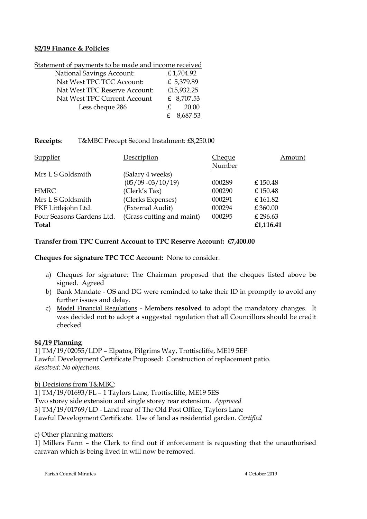#### **82/19 Finance & Policies**

Statement of payments to be made and income received

| <b>National Savings Account:</b> | £1,704.92  |
|----------------------------------|------------|
| Nat West TPC TCC Account:        | £ 5,379.89 |
| Nat West TPC Reserve Account:    | £15,932.25 |
| Nat West TPC Current Account     | £ 8,707.53 |
| Less cheque 286                  | 20.00      |
|                                  | 8,687.53   |

## **Receipts**: T&MBC Precept Second Instalment: £8,250.00

| <b>Supplier</b>           | Description               | Cheque | Amount    |
|---------------------------|---------------------------|--------|-----------|
|                           |                           | Number |           |
| Mrs L S Goldsmith         | (Salary 4 weeks)          |        |           |
|                           | $(05/09 - 03/10/19)$      | 000289 | £150.48   |
| <b>HMRC</b>               | (Clerk's Tax)             | 000290 | £150.48   |
| Mrs L S Goldsmith         | (Clerks Expenses)         | 000291 | £161.82   |
| PKF Littlejohn Ltd.       | (External Audit)          | 000294 | £360.00   |
| Four Seasons Gardens Ltd. | (Grass cutting and maint) | 000295 | £ 296.63  |
| Total                     |                           |        | £1,116.41 |

## **Transfer from TPC Current Account to TPC Reserve Account: £7,400.00**

**Cheques for signature TPC TCC Account:** None to consider.

- a) Cheques for signature: The Chairman proposed that the cheques listed above be signed. Agreed
- b) Bank Mandate OS and DG were reminded to take their ID in promptly to avoid any further issues and delay.
- c) Model Financial Regulations Members **resolved** to adopt the mandatory changes. It was decided not to adopt a suggested regulation that all Councillors should be credit checked.

## **84 /19 Planning**

1] TM/19/02055/LDP – Elpatos, Pilgrims Way, Trottiscliffe, ME19 5EP Lawful Development Certificate Proposed: Construction of replacement patio. *Resolved: No objections.*

b) Decisions from T&MBC:

1] TM/19/01693/FL – 1 Taylors Lane, Trottiscliffe, ME19 5ES Two storey side extension and single storey rear extension. *Approved* 3] TM/19/01769/LD - Land rear of The Old Post Office, Taylors Lane Lawful Development Certificate. Use of land as residential garden. *Certified*

# c) Other planning matters:

1] Millers Farm – the Clerk to find out if enforcement is requesting that the unauthorised caravan which is being lived in will now be removed.

Parish Council Minutes 4 October 2019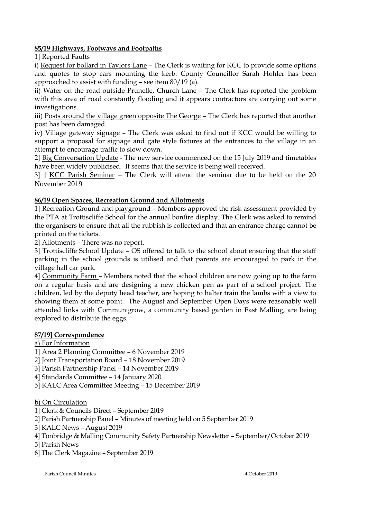# **85/19 Highways, Footways and Footpaths**

1] Reported Faults

i) Request for bollard in Taylors Lane – The Clerk is waiting for KCC to provide some options and quotes to stop cars mounting the kerb. County Councillor Sarah Hohler has been approached to assist with funding – see item 80/19 (a).

ii) Water on the road outside Prunelle, Church Lane – The Clerk has reported the problem with this area of road constantly flooding and it appears contractors are carrying out some investigations.

iii) Posts around the village green opposite The George – The Clerk has reported that another post has been damaged.

iv) Village gateway signage – The Clerk was asked to find out if KCC would be willing to support a proposal for signage and gate style fixtures at the entrances to the village in an attempt to encourage traffic to slow down.

2] Big Conversation Update - The new service commenced on the 15 July 2019 and timetables have been widely publicised. It seems that the service is being well received.

3] ] KCC Parish Seminar – The Clerk will attend the seminar due to be held on the 20 November 2019

# **86/19 Open Spaces, Recreation Ground and Allotments**

1] Recreation Ground and playground – Members approved the risk assessment provided by the PTA at Trottiscliffe School for the annual bonfire display. The Clerk was asked to remind the organisers to ensure that all the rubbish is collected and that an entrance charge cannot be printed on the tickets.

2] Allotments – There was no report.

3] Trottiscliffe School Update – OS offered to talk to the school about ensuring that the staff parking in the school grounds is utilised and that parents are encouraged to park in the village hall car park.

4] Community Farm – Members noted that the school children are now going up to the farm on a regular basis and are designing a new chicken pen as part of a school project. The children, led by the deputy head teacher, are hoping to halter train the lambs with a view to showing them at some point. The August and September Open Days were reasonably well attended links with Communigrow, a community based garden in East Malling, are being explored to distribute the eggs.

## **87/19] Correspondence**

## a) For Information

1] Area 2 Planning Committee – 6 November 2019

2] Joint Transportation Board – 18 November 2019

3] Parish Partnership Panel – 14 November 2019

- 4] Standards Committee 14 January 2020
- 5] KALC Area Committee Meeting 15 December 2019

b) On Circulation

- 1] Clerk & Councils Direct September 2019
- 2] Parish Partnership Panel Minutes of meeting held on 5 September 2019
- 3] KALC News August 2019
- 4] Tonbridge & Malling Community Safety Partnership Newsletter September/October 2019

5] Parish News

6] The Clerk Magazine – September 2019